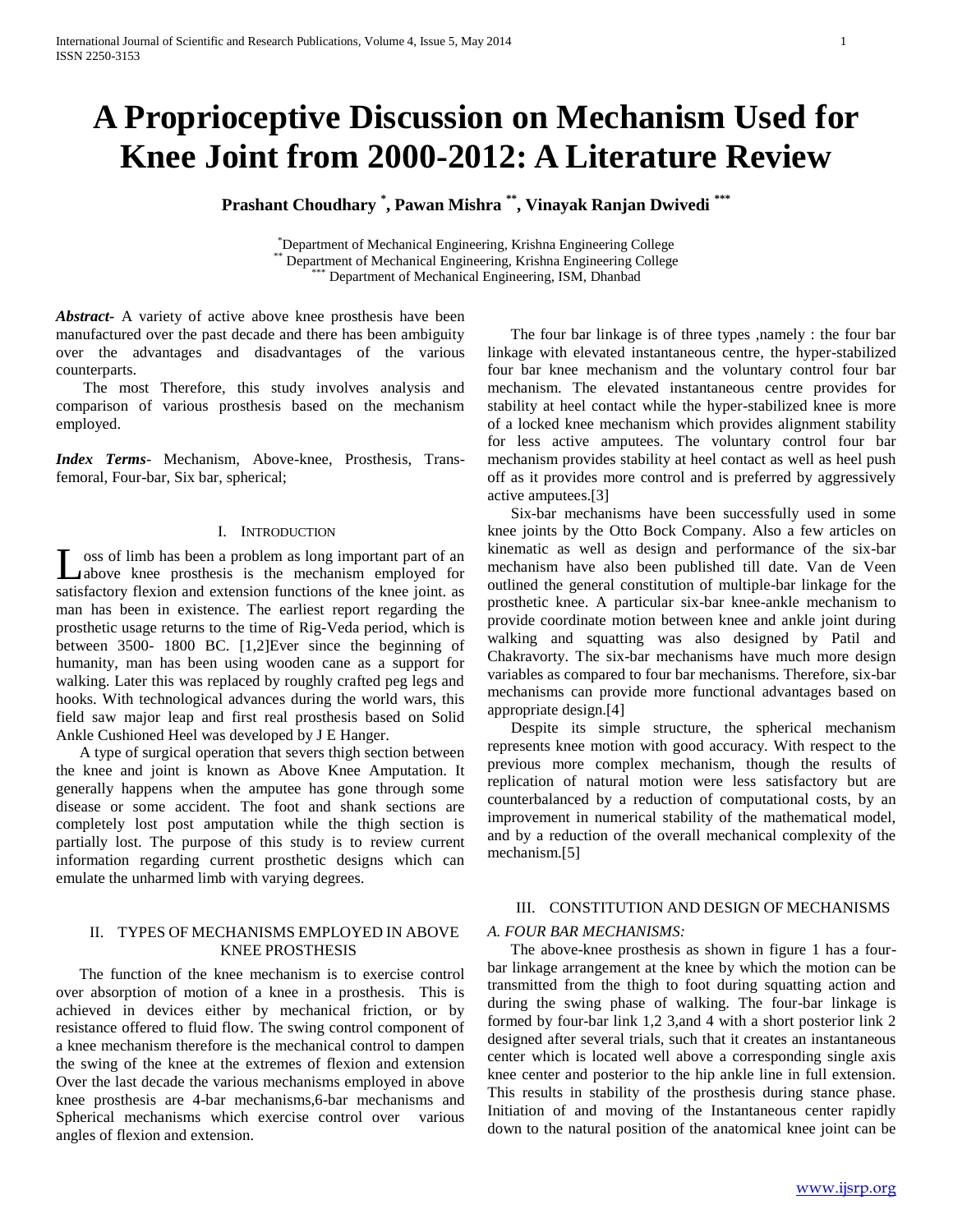# **A Proprioceptive Discussion on Mechanism Used for Knee Joint from 2000-2012: A Literature Review**

**Prashant Choudhary \* , Pawan Mishra \*\*, Vinayak Ranjan Dwivedi \*\*\***

\*Department of Mechanical Engineering, Krishna Engineering College \* Department of Mechanical Engineering, Krishna Engineering College Department of Mechanical Engineering, ISM, Dhanbad

*Abstract***-** A variety of active above knee prosthesis have been manufactured over the past decade and there has been ambiguity over the advantages and disadvantages of the various counterparts.

 The most Therefore, this study involves analysis and comparison of various prosthesis based on the mechanism employed.

*Index Terms*- Mechanism, Above-knee, Prosthesis, Transfemoral, Four-bar, Six bar, spherical;

# I. INTRODUCTION

Loss of limb has been a problem as long important part of an above knee prosthesis is the mechanism employed for above knee prosthesis is the mechanism employed for satisfactory flexion and extension functions of the knee joint. as man has been in existence. The earliest report regarding the prosthetic usage returns to the time of Rig-Veda period, which is between 3500- 1800 BC. [1,2]Ever since the beginning of humanity, man has been using wooden cane as a support for walking. Later this was replaced by roughly crafted peg legs and hooks. With technological advances during the world wars, this field saw major leap and first real prosthesis based on Solid Ankle Cushioned Heel was developed by J E Hanger.

 A type of surgical operation that severs thigh section between the knee and joint is known as Above Knee Amputation. It generally happens when the amputee has gone through some disease or some accident. The foot and shank sections are completely lost post amputation while the thigh section is partially lost. The purpose of this study is to review current information regarding current prosthetic designs which can emulate the unharmed limb with varying degrees.

## II. TYPES OF MECHANISMS EMPLOYED IN ABOVE KNEE PROSTHESIS

 The function of the knee mechanism is to exercise control over absorption of motion of a knee in a prosthesis. This is achieved in devices either by mechanical friction, or by resistance offered to fluid flow. The swing control component of a knee mechanism therefore is the mechanical control to dampen the swing of the knee at the extremes of flexion and extension Over the last decade the various mechanisms employed in above knee prosthesis are 4-bar mechanisms, 6-bar mechanisms and Spherical mechanisms which exercise control over various angles of flexion and extension.

 The four bar linkage is of three types ,namely : the four bar linkage with elevated instantaneous centre, the hyper-stabilized four bar knee mechanism and the voluntary control four bar mechanism. The elevated instantaneous centre provides for stability at heel contact while the hyper-stabilized knee is more of a locked knee mechanism which provides alignment stability for less active amputees. The voluntary control four bar mechanism provides stability at heel contact as well as heel push off as it provides more control and is preferred by aggressively active amputees.[3]

 Six-bar mechanisms have been successfully used in some knee joints by the Otto Bock Company. Also a few articles on kinematic as well as design and performance of the six-bar mechanism have also been published till date. Van de Veen outlined the general constitution of multiple-bar linkage for the prosthetic knee. A particular six-bar knee-ankle mechanism to provide coordinate motion between knee and ankle joint during walking and squatting was also designed by Patil and Chakravorty. The six-bar mechanisms have much more design variables as compared to four bar mechanisms. Therefore, six-bar mechanisms can provide more functional advantages based on appropriate design.[4]

 Despite its simple structure, the spherical mechanism represents knee motion with good accuracy. With respect to the previous more complex mechanism, though the results of replication of natural motion were less satisfactory but are counterbalanced by a reduction of computational costs, by an improvement in numerical stability of the mathematical model, and by a reduction of the overall mechanical complexity of the mechanism.[5]

# III. CONSTITUTION AND DESIGN OF MECHANISMS

## *A. FOUR BAR MECHANISMS:*

 The above-knee prosthesis as shown in figure 1 has a fourbar linkage arrangement at the knee by which the motion can be transmitted from the thigh to foot during squatting action and during the swing phase of walking. The four-bar linkage is formed by four-bar link 1,2 3,and 4 with a short posterior link 2 designed after several trials, such that it creates an instantaneous center which is located well above a corresponding single axis knee center and posterior to the hip ankle line in full extension. This results in stability of the prosthesis during stance phase. Initiation of and moving of the Instantaneous center rapidly down to the natural position of the anatomical knee joint can be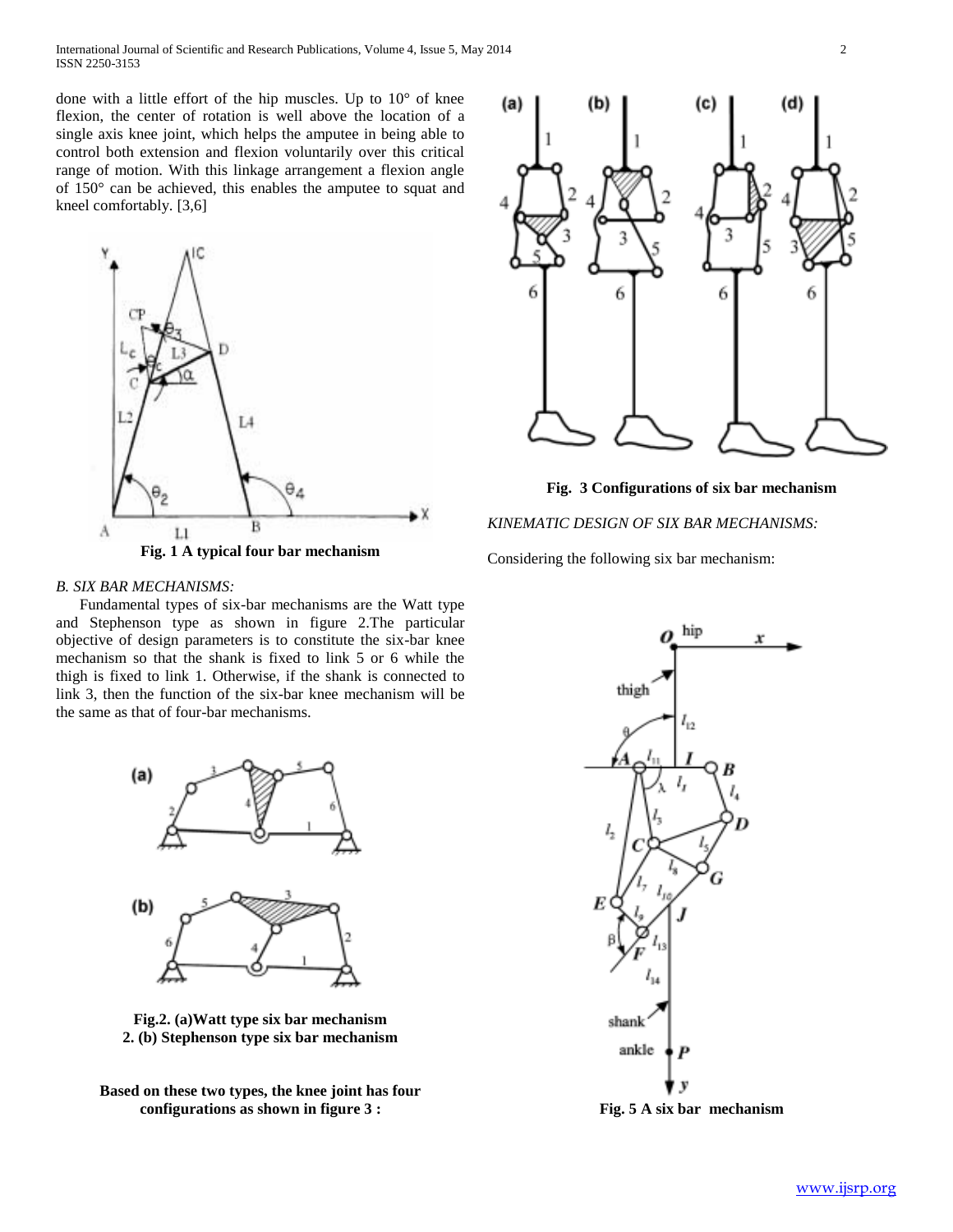done with a little effort of the hip muscles. Up to 10° of knee flexion, the center of rotation is well above the location of a single axis knee joint, which helps the amputee in being able to control both extension and flexion voluntarily over this critical range of motion. With this linkage arrangement a flexion angle of 150° can be achieved, this enables the amputee to squat and kneel comfortably. [3,6]



## *B. SIX BAR MECHANISMS:*

 Fundamental types of six-bar mechanisms are the Watt type and Stephenson type as shown in figure 2.The particular objective of design parameters is to constitute the six-bar knee mechanism so that the shank is fixed to link 5 or 6 while the thigh is fixed to link 1. Otherwise, if the shank is connected to link 3, then the function of the six-bar knee mechanism will be the same as that of four-bar mechanisms.



**Fig.2. (a)Watt type six bar mechanism 2. (b) Stephenson type six bar mechanism**

**Based on these two types, the knee joint has four configurations as shown in figure 3 :**



**Fig. 3 Configurations of six bar mechanism**

# *KINEMATIC DESIGN OF SIX BAR MECHANISMS:*

Considering the following six bar mechanism:



**Fig. 5 A six bar mechanism**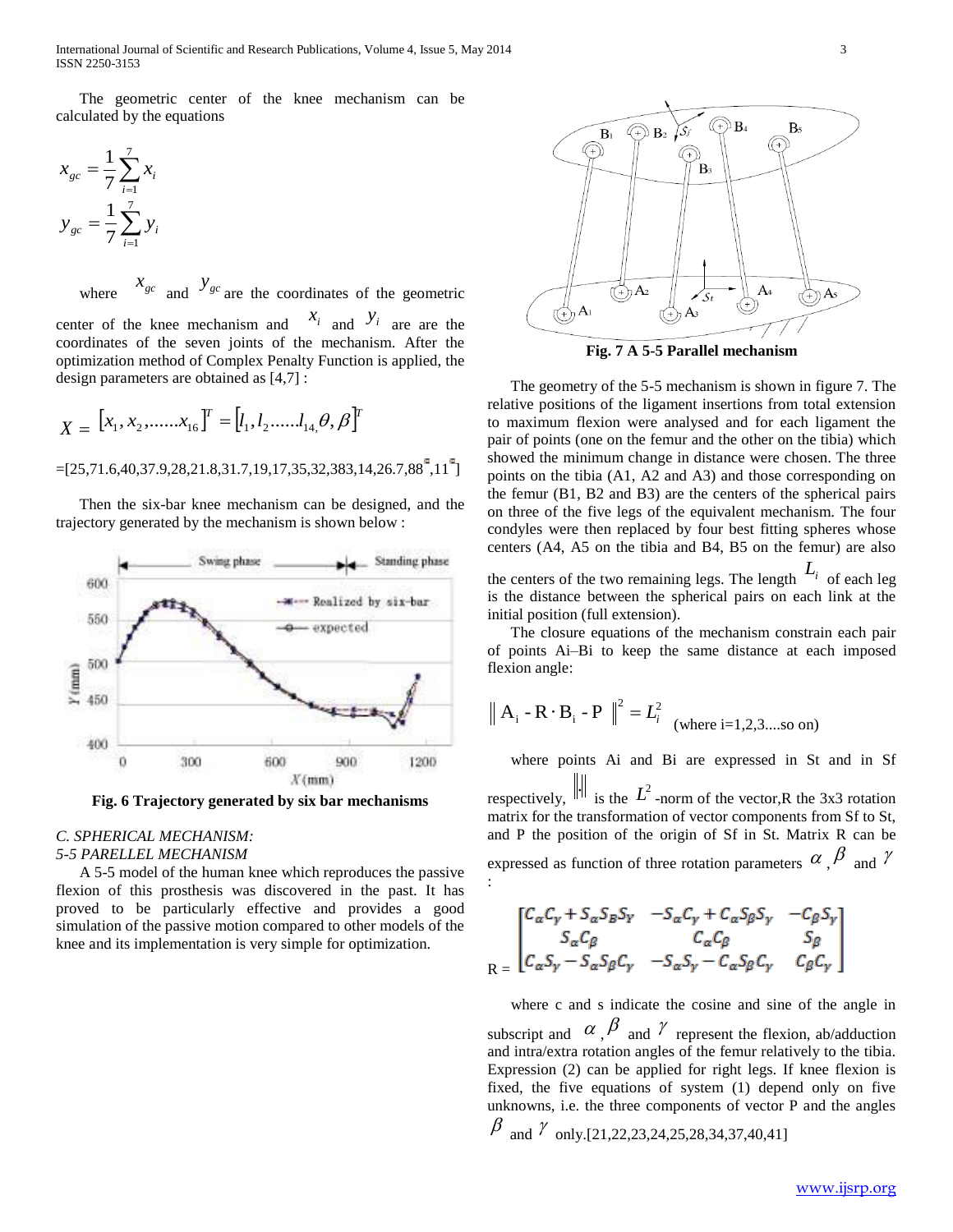International Journal of Scientific and Research Publications, Volume 4, Issue 5, May 2014 3 ISSN 2250-3153

 The geometric center of the knee mechanism can be calculated by the equations

$$
x_{gc} = \frac{1}{7} \sum_{i=1}^{7} x_i
$$
  

$$
y_{gc} = \frac{1}{7} \sum_{i=1}^{7} y_i
$$

 where  $x_{gc}$  and  $y_{gc}$  are the coordinates of the geometric center of the knee mechanism and  $x_i$  and  $y_i$  are are the coordinates of the seven joints of the mechanism. After the optimization method of Complex Penalty Function is applied, the design parameters are obtained as [4,7] :

$$
X = \begin{bmatrix} x_1, x_2, \dots, x_{16} \end{bmatrix}^T = \begin{bmatrix} l_1, l_2, \dots, l_{14}, \theta, \beta \end{bmatrix}^T
$$
 to  
prod-  
125,71.6,40,37.9,28,21.8,31.7,19,17,35,32,383,14,26.7,88°,11°  
on  
100

 Then the six-bar knee mechanism can be designed, and the trajectory generated by the mechanism is shown below :



**Fig. 6 Trajectory generated by six bar mechanisms**

# *C. SPHERICAL MECHANISM:*

# *5-5 PARELLEL MECHANISM*

 A 5-5 model of the human knee which reproduces the passive flexion of this prosthesis was discovered in the past. It has proved to be particularly effective and provides a good simulation of the passive motion compared to other models of the knee and its implementation is very simple for optimization.



**Fig. 7 A 5-5 Parallel mechanism**

 $[x_1, x_2, \dots, x_{16}]^T = [l_1, l_2, \dots, l_{14}, \theta, \beta]^T$  to maximum flexion were analysed and for each ligament the The geometry of the 5-5 mechanism is shown in figure 7. The relative positions of the ligament insertions from total extension pair of points (one on the femur and the other on the tibia) which showed the minimum change in distance were chosen. The three points on the tibia (A1, A2 and A3) and those corresponding on the femur (B1, B2 and B3) are the centers of the spherical pairs on three of the five legs of the equivalent mechanism. The four condyles were then replaced by four best fitting spheres whose centers (A4, A5 on the tibia and B4, B5 on the femur) are also

> the centers of the two remaining legs. The length  $L_i$  of each leg is the distance between the spherical pairs on each link at the initial position (full extension).

> The closure equations of the mechanism constrain each pair of points Ai–Bi to keep the same distance at each imposed flexion angle:

$$
||
$$
 **A**<sub>i</sub> - **R** · **B**<sub>i</sub> - **P**  $||^2 = L_i^2$  (where i=1,2,3....so on)

where points Ai and Bi are expressed in St and in Sf

respectively,  $\|\cdot\|$  is the  $L^2$ -norm of the vector,R the 3x3 rotation matrix for the transformation of vector components from Sf to St, and P the position of the origin of Sf in St. Matrix R can be expressed as function of three rotation parameters  $\alpha$ ,  $\beta$  and  $\gamma$  $\gamma$ :

$$
\begin{bmatrix}\nC_{\alpha}C_{\gamma} + S_{\alpha}S_{B}S_{\gamma} & -S_{\alpha}C_{\gamma} + C_{\alpha}S_{\beta}S_{\gamma} & -C_{\beta}S_{\gamma} \\
S_{\alpha}C_{\beta} & C_{\alpha}C_{\beta} & S_{\beta} \\
C_{\alpha}S_{\gamma} - S_{\alpha}S_{\beta}C_{\gamma} & -S_{\alpha}S_{\gamma} - C_{\alpha}S_{\beta}C_{\gamma} & C_{\beta}C_{\gamma}\n\end{bmatrix}
$$

 where c and s indicate the cosine and sine of the angle in subscript and  $\alpha$ ,  $\beta$  and  $\gamma$  represent the flexion, ab/adduction and intra/extra rotation angles of the femur relatively to the tibia. Expression (2) can be applied for right legs. If knee flexion is fixed, the five equations of system (1) depend only on five unknowns, i.e. the three components of vector P and the angles  $\beta$  and  $\gamma$  only.[21,22,23,24,25,28,34,37,40,41]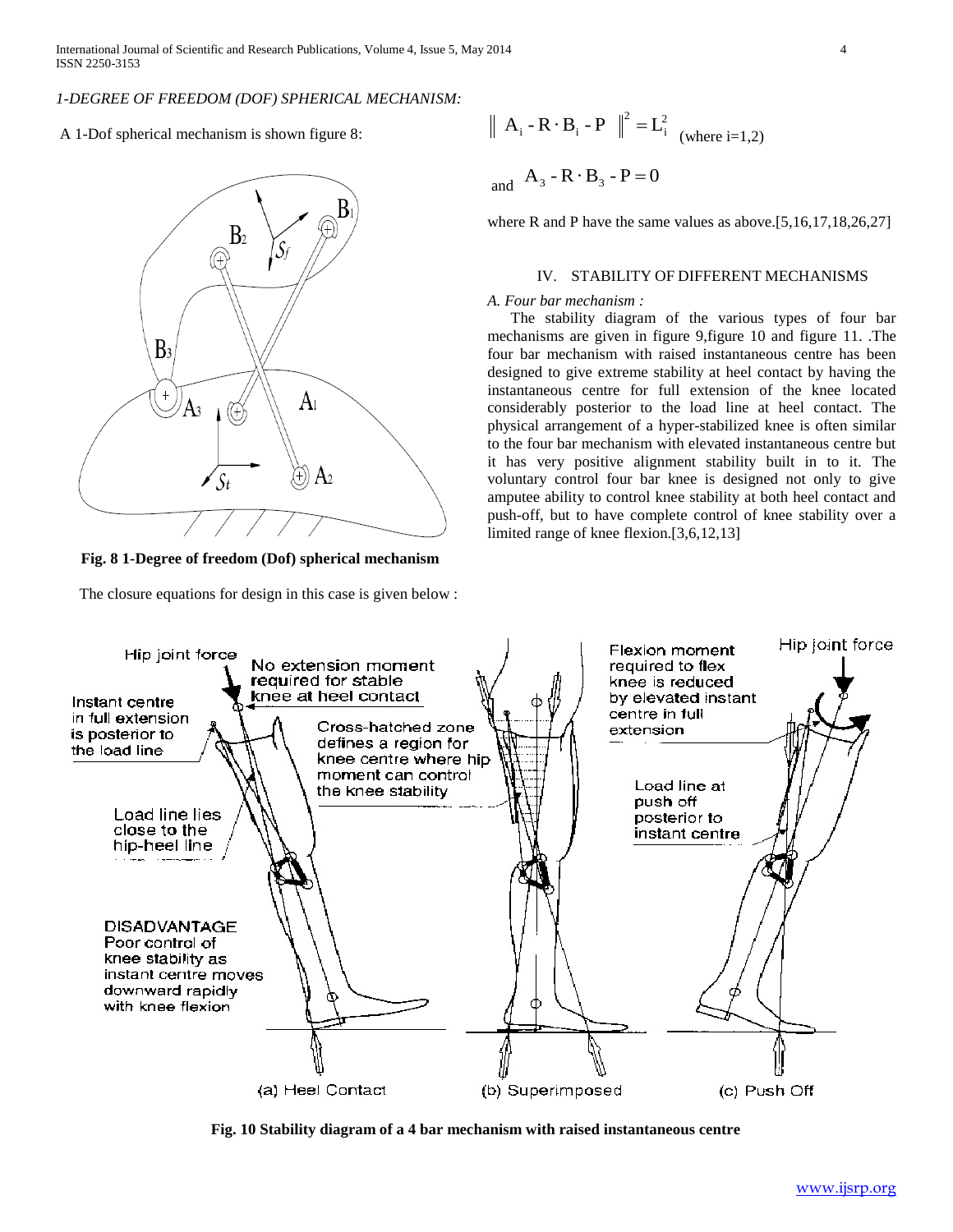# *1-DEGREE OF FREEDOM (DOF) SPHERICAL MECHANISM:*

A 1-Dof spherical mechanism is shown figure 8:



**Fig. 8 1-Degree of freedom (Dof) spherical mechanism**

The closure equations for design in this case is given below :

$$
\| \mathbf{A}_i - \mathbf{R} \cdot \mathbf{B}_i - \mathbf{P} \|^2 = \mathbf{L}_i^2
$$
 (where i=1,2)

and  $A_3 - R \cdot B_3 - P = 0$ 

where R and P have the same values as above.[5,16,17,18,26,27]

# IV. STABILITY OF DIFFERENT MECHANISMS

## *A. Four bar mechanism :*

 The stability diagram of the various types of four bar mechanisms are given in figure 9,figure 10 and figure 11. .The four bar mechanism with raised instantaneous centre has been designed to give extreme stability at heel contact by having the instantaneous centre for full extension of the knee located considerably posterior to the load line at heel contact. The physical arrangement of a hyper-stabilized knee is often similar to the four bar mechanism with elevated instantaneous centre but it has very positive alignment stability built in to it. The voluntary control four bar knee is designed not only to give amputee ability to control knee stability at both heel contact and push-off, but to have complete control of knee stability over a limited range of knee flexion.[3,6,12,13]



**Fig. 10 Stability diagram of a 4 bar mechanism with raised instantaneous centre**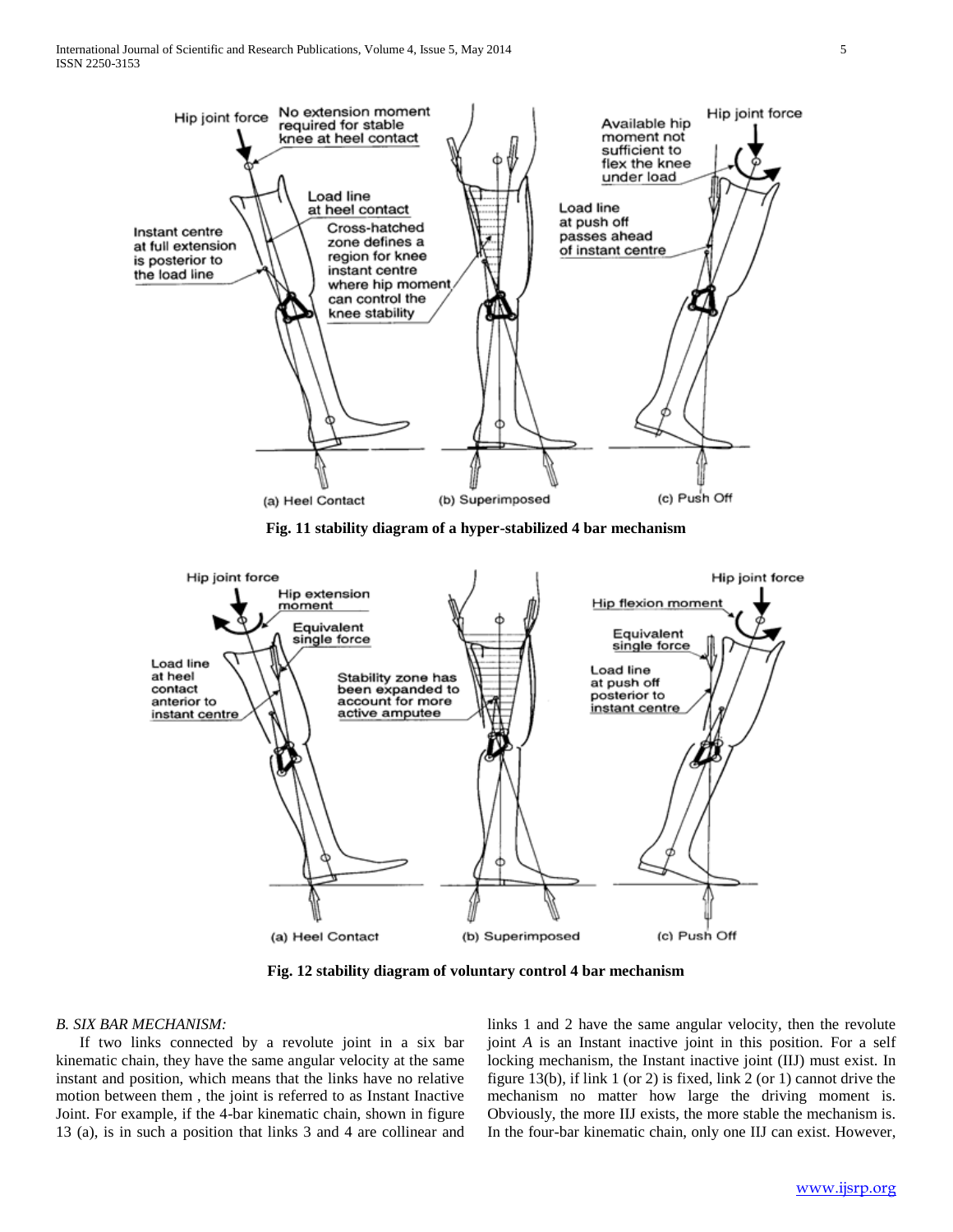

**Fig. 11 stability diagram of a hyper-stabilized 4 bar mechanism**



**Fig. 12 stability diagram of voluntary control 4 bar mechanism**

## *B. SIX BAR MECHANISM:*

 If two links connected by a revolute joint in a six bar kinematic chain, they have the same angular velocity at the same instant and position, which means that the links have no relative motion between them , the joint is referred to as Instant Inactive Joint. For example, if the 4-bar kinematic chain, shown in figure 13 (a), is in such a position that links 3 and 4 are collinear and

links 1 and 2 have the same angular velocity, then the revolute joint *A* is an Instant inactive joint in this position. For a self locking mechanism, the Instant inactive joint (IIJ) must exist. In figure 13(b), if link 1 (or 2) is fixed, link 2 (or 1) cannot drive the mechanism no matter how large the driving moment is. Obviously, the more IIJ exists, the more stable the mechanism is. In the four-bar kinematic chain, only one IIJ can exist. However,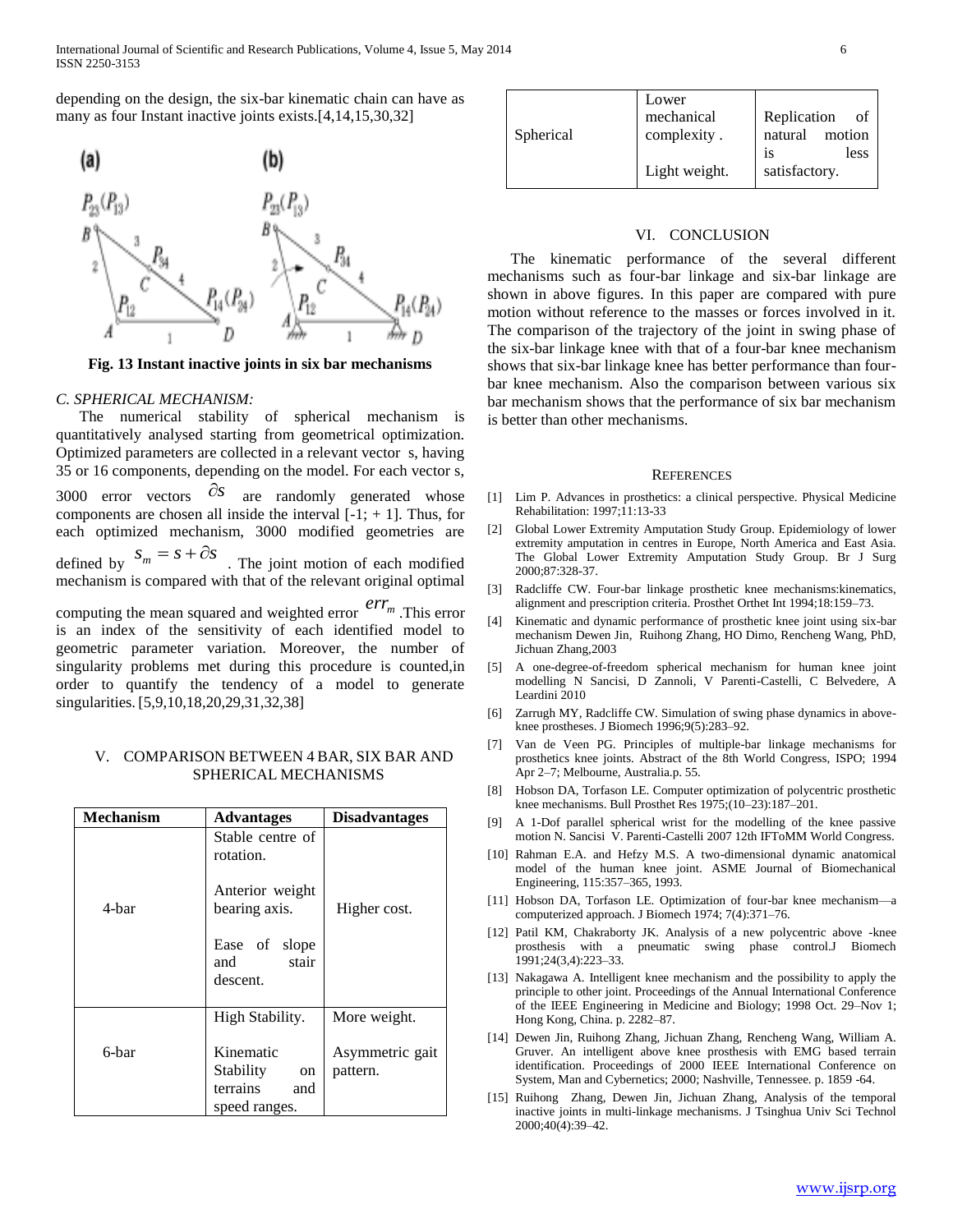depending on the design, the six-bar kinematic chain can have as many as four Instant inactive joints exists.[4,14,15,30,32]



**Fig. 13 Instant inactive joints in six bar mechanisms**

## *C. SPHERICAL MECHANISM:*

 The numerical stability of spherical mechanism is quantitatively analysed starting from geometrical optimization. Optimized parameters are collected in a relevant vector s, having 35 or 16 components, depending on the model. For each vector s, 3000 error vectors  $\partial s$  $\partial s$  are randomly generated whose components are chosen all inside the interval  $[-1; + 1]$ . Thus, for each optimized mechanism, 3000 modified geometries are defined by  $S_m = S + \partial S$  $s_m = s + \partial s$ . The joint motion of each modified mechanism is compared with that of the relevant original optimal computing the mean squared and weighted error  $err_m$ . This error  $\frac{1}{11}$   $\frac{1}{11}$   $\frac{1}{11}$ is an index of the sensitivity of each identified model to geometric parameter variation. Moreover, the number of singularity problems met during this procedure is counted,in order to quantify the tendency of a model to generate singularities. [5,9,10,18,20,29,31,32,38]

## V. COMPARISON BETWEEN 4 BAR, SIX BAR AND SPHERICAL MECHANISMS

| <b>Mechanism</b> | <b>Advantages</b>                                                                                              | <b>Disadvantages</b>            |
|------------------|----------------------------------------------------------------------------------------------------------------|---------------------------------|
| 4-bar            | Stable centre of<br>rotation.<br>Anterior weight<br>bearing axis.<br>Ease of slope<br>stair<br>and<br>descent. | Higher cost.                    |
| 6-bar            | High Stability.<br>Kinematic                                                                                   | More weight.<br>Asymmetric gait |
|                  | Stability<br><sub>on</sub><br>terrains<br>and<br>speed ranges.                                                 | pattern.                        |

| Lower<br>mechanical<br>complexity.<br>Light weight. | Replication<br>οf<br>natural<br>motion<br>less<br><b>1S</b><br>satisfactory. |
|-----------------------------------------------------|------------------------------------------------------------------------------|
|                                                     |                                                                              |
|                                                     |                                                                              |

### VI. CONCLUSION

 The kinematic performance of the several different mechanisms such as four-bar linkage and six-bar linkage are shown in above figures. In this paper are compared with pure motion without reference to the masses or forces involved in it. The comparison of the trajectory of the joint in swing phase of the six-bar linkage knee with that of a four-bar knee mechanism shows that six-bar linkage knee has better performance than fourbar knee mechanism. Also the comparison between various six bar mechanism shows that the performance of six bar mechanism is better than other mechanisms.

#### **REFERENCES**

- [1] Lim P. Advances in prosthetics: a clinical perspective. Physical Medicine Rehabilitation: 1997;11:13-33
- [2] Global Lower Extremity Amputation Study Group. Epidemiology of lower extremity amputation in centres in Europe, North America and East Asia. The Global Lower Extremity Amputation Study Group. Br J Surg 2000;87:328-37.
- [3] Radcliffe CW. Four-bar linkage prosthetic knee mechanisms:kinematics, alignment and prescription criteria. Prosthet Orthet Int 1994;18:159–73.
- [4] Kinematic and dynamic performance of prosthetic knee joint using six-bar mechanism Dewen Jin, Ruihong Zhang, HO Dimo, Rencheng Wang, PhD, Jichuan Zhang,2003
- [5] A one-degree-of-freedom spherical mechanism for human knee joint modelling N Sancisi, D Zannoli, V Parenti-Castelli, C Belvedere, A Leardini 2010
- [6] Zarrugh MY, Radcliffe CW. Simulation of swing phase dynamics in aboveknee prostheses. J Biomech 1996;9(5):283–92.
- [7] Van de Veen PG. Principles of multiple-bar linkage mechanisms for prosthetics knee joints. Abstract of the 8th World Congress, ISPO; 1994 Apr 2–7; Melbourne, Australia.p. 55.
- [8] Hobson DA, Torfason LE. Computer optimization of polycentric prosthetic knee mechanisms. Bull Prosthet Res 1975;(10–23):187–201.
- [9] A 1-Dof parallel spherical wrist for the modelling of the knee passive motion N. Sancisi V. Parenti-Castelli 2007 12th IFToMM World Congress.
- [10] Rahman E.A. and Hefzy M.S. A two-dimensional dynamic anatomical model of the human knee joint. ASME Journal of Biomechanical Engineering, 115:357–365, 1993.
- [11] Hobson DA, Torfason LE. Optimization of four-bar knee mechanism—a computerized approach. J Biomech 1974; 7(4):371–76.
- [12] Patil KM, Chakraborty JK. Analysis of a new polycentric above -knee prosthesis with a pneumatic swing phase control.J Biomech 1991;24(3,4):223–33.
- [13] Nakagawa A. Intelligent knee mechanism and the possibility to apply the principle to other joint. Proceedings of the Annual International Conference of the IEEE Engineering in Medicine and Biology; 1998 Oct. 29–Nov 1; Hong Kong, China. p. 2282–87.
- [14] Dewen Jin, Ruihong Zhang, Jichuan Zhang, Rencheng Wang, William A. Gruver. An intelligent above knee prosthesis with EMG based terrain identification. Proceedings of 2000 IEEE International Conference on System, Man and Cybernetics; 2000; Nashville, Tennessee. p. 1859 -64.
- [15] Ruihong Zhang, Dewen Jin, Jichuan Zhang, Analysis of the temporal inactive joints in multi-linkage mechanisms. J Tsinghua Univ Sci Technol 2000;40(4):39–42.